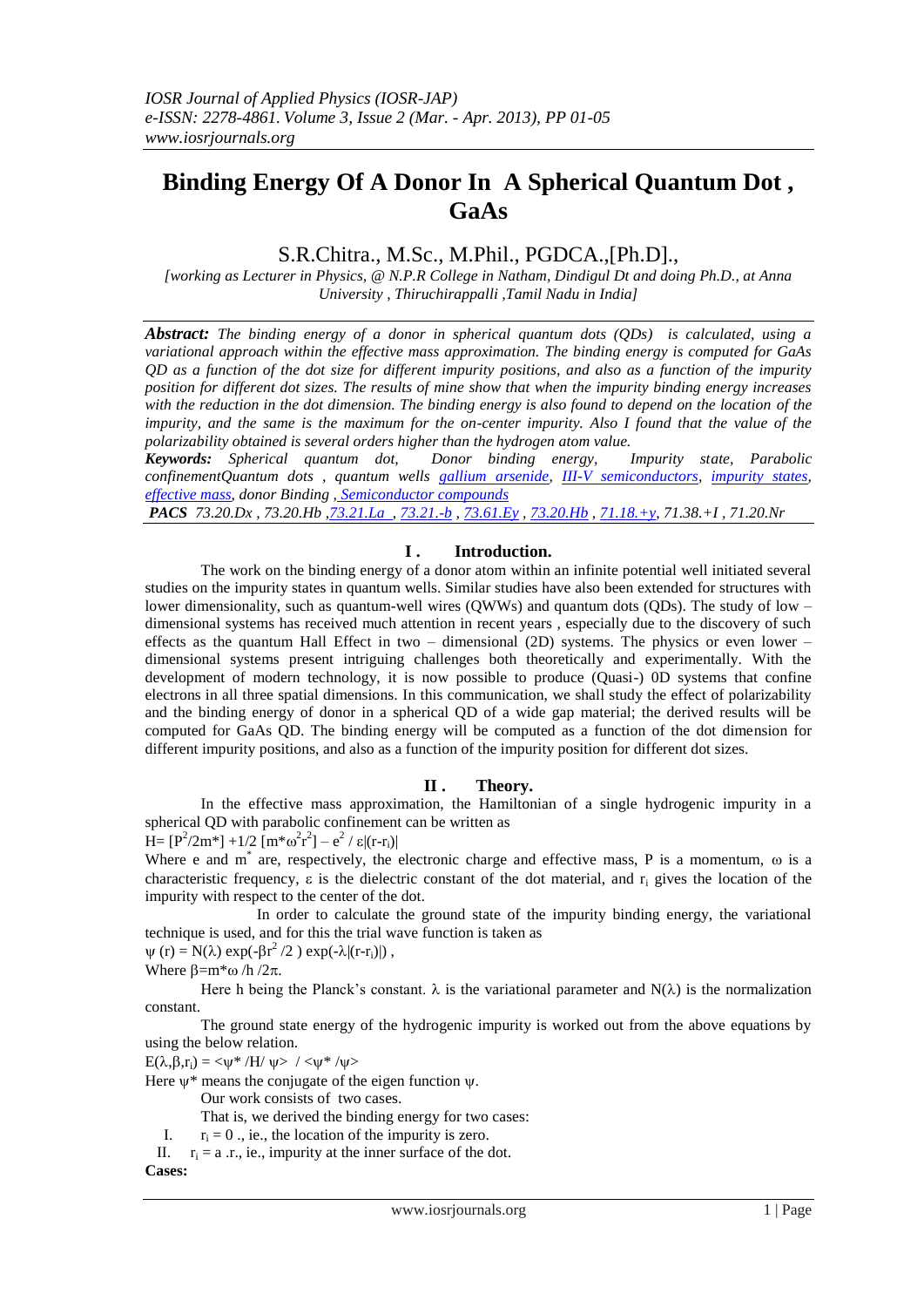# **Binding Energy Of A Donor In A Spherical Quantum Dot , GaAs**

# S.R.Chitra., M.Sc., M.Phil., PGDCA.,[Ph.D].,

*[working as Lecturer in Physics, @ N.P.R College in Natham, Dindigul Dt and doing Ph.D., at Anna University , Thiruchirappalli ,Tamil Nadu in India]*

*Abstract: The binding energy of a donor in spherical quantum dots (QDs) is calculated, using a variational approach within the effective mass approximation. The binding energy is computed for GaAs QD as a function of the dot size for different impurity positions, and also as a function of the impurity position for different dot sizes. The results of mine show that when the impurity binding energy increases with the reduction in the dot dimension. The binding energy is also found to depend on the location of the impurity, and the same is the maximum for the on-center impurity. Also I found that the value of the polarizability obtained is several orders higher than the hydrogen atom value.*

*Keywords: Spherical quantum dot, Donor binding energy, Impurity state, Parabolic confinementQuantum dots , quantum wells [gallium arsenide,](http://scitation.aip.org/vsearch/servlet/VerityServlet?KEY=FREESR&search=Search&smode=results&bool1=and&possible1zone=article&possible1=gallium+arsenide) [III-V semiconductors,](http://scitation.aip.org/vsearch/servlet/VerityServlet?KEY=FREESR&search=Search&smode=results&bool1=and&possible1zone=article&possible1=III-V+semiconductors) [impurity states,](http://scitation.aip.org/vsearch/servlet/VerityServlet?KEY=FREESR&search=Search&smode=results&bool1=and&possible1zone=article&possible1=impurity+states) [effective mass,](http://scitation.aip.org/vsearch/servlet/VerityServlet?KEY=FREESR&search=Search&smode=results&bool1=and&possible1zone=article&possible1=effective+mass) donor Binding , [Semiconductor compounds](http://iopscience.iop.org/search?searchType=selectedPacsMscCode&primarypacs=71.20.Nr)* 

*PACS 73.20.Dx , 73.20.Hb [,73.21.La](http://iopscience.iop.org/search?searchType=selectedPacsMscCode&primarypacs=73.21.La) , [73.21.-b](http://scitation.aip.org/vsearch/servlet/VerityServlet?KEY=FREESR&search=Search&smode=results&bool1=and&possible1zone=pacs&possible1=73.21.-b) , [73.61.Ey](http://scitation.aip.org/vsearch/servlet/VerityServlet?KEY=FREESR&search=Search&smode=results&bool1=and&possible1zone=pacs&possible1=73.61.Ey) , [73.20.Hb](http://scitation.aip.org/vsearch/servlet/VerityServlet?KEY=FREESR&search=Search&smode=results&bool1=and&possible1zone=pacs&possible1=73.20.Hb) [, 71.18.+y,](http://scitation.aip.org/vsearch/servlet/VerityServlet?KEY=FREESR&search=Search&smode=results&bool1=and&possible1zone=pacs&possible1=71.18.%2By) 71.38.+I , 71.20.Nr*

## I. Introduction.

The work on the binding energy of a donor atom within an infinite potential well initiated several studies on the impurity states in quantum wells. Similar studies have also been extended for structures with lower dimensionality, such as quantum-well wires (QWWs) and quantum dots (QDs). The study of low – dimensional systems has received much attention in recent years , especially due to the discovery of such effects as the quantum Hall Effect in two – dimensional (2D) systems. The physics or even lower – dimensional systems present intriguing challenges both theoretically and experimentally. With the development of modern technology, it is now possible to produce (Quasi-) 0D systems that confine electrons in all three spatial dimensions. In this communication, we shall study the effect of polarizability and the binding energy of donor in a spherical QD of a wide gap material; the derived results will be computed for GaAs QD. The binding energy will be computed as a function of the dot dimension for different impurity positions, and also as a function of the impurity position for different dot sizes.

#### **II . Theory.**

In the effective mass approximation, the Hamiltonian of a single hydrogenic impurity in a spherical QD with parabolic confinement can be written as H =  $[P^2/2m^*]$  + 1/2  $[m^*\omega^2r^2]$  –  $e^2 / \varepsilon |(r-r_i)|$ 

Where e and  $m^*$  are, respectively, the electronic charge and effective mass, P is a momentum,  $\omega$  is a characteristic frequency,  $\varepsilon$  is the dielectric constant of the dot material, and  $r_i$  gives the location of the impurity with respect to the center of the dot.

In order to calculate the ground state of the impurity binding energy, the variational technique is used, and for this the trial wave function is taken as

 $\psi$  (r) = N( $\lambda$ ) exp(- $\beta r^2/2$ ) exp(- $\lambda$ |(r-r<sub>i</sub>)|), Where  $\beta = m^* \omega /h /2\pi$ .

Here h being the Planck's constant.  $\lambda$  is the variational parameter and N( $\lambda$ ) is the normalization constant.

 The ground state energy of the hydrogenic impurity is worked out from the above equations by using the below relation.

 $E(\lambda,\beta,r_i) = \langle \psi^* / H / \psi \rangle / \langle \psi^* / \psi \rangle$ 

Here  $\psi^*$  means the conjugate of the eigen function  $\psi$ .

Our work consists of two cases.

That is, we derived the binding energy for two cases: I.  $r_i = 0$ , ie., the location of the impurity is zero.

II.  $r_i = a$  .r., ie., impurity at the inner surface of the dot.

**Cases:**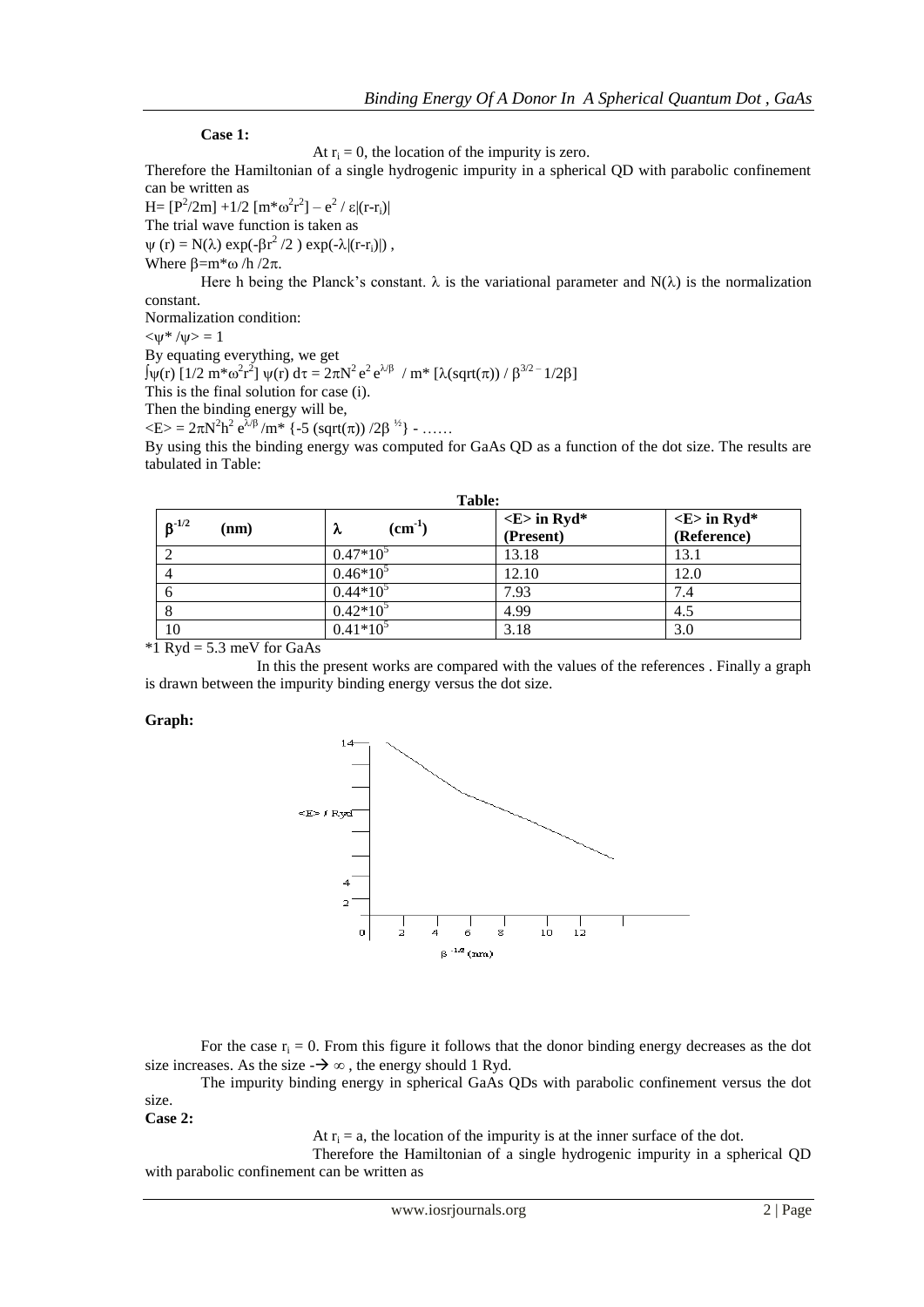#### **Case 1:**

At  $r_i = 0$ , the location of the impurity is zero.

Therefore the Hamiltonian of a single hydrogenic impurity in a spherical QD with parabolic confinement can be written as

H =  $[P^2/2m]$  +1/2  $[m*\omega^2r^2]$  –  $e^2 / \varepsilon |(r-r_i)|$ The trial wave function is taken as  $\psi$  (r) = N( $\lambda$ ) exp(- $\beta r^2/2$ ) exp(- $\lambda$ |(r-r<sub>i</sub>)|), Where  $\beta = m^* \omega /h /2\pi$ .

Here h being the Planck's constant.  $\lambda$  is the variational parameter and N( $\lambda$ ) is the normalization constant.

Normalization condition:

 $\langle w^*/w \rangle = 1$ 

By equating everything, we get  $\int \psi(r) \left[1/2 \, \text{m}^* \omega^2 r^2\right] \psi(r) \, \text{d}\tau = 2\pi \text{N}^2 \, \text{e}^2 \, \text{e}^{\lambda/\beta} / \text{m}^* \left[\lambda(\text{sqrt}(\pi)) / \beta^{3/2 - 1/2\beta}\right]$ This is the final solution for case (i). Then the binding energy will be,  $\langle E \rangle = 2\pi N^2 h^2 e^{\lambda/\beta} / m^*$  {-5 (sqrt( $\pi$ )) /2 $\beta^{1/2}$ } - ......

By using this the binding energy was computed for GaAs QD as a function of the dot size. The results are tabulated in Table:

| Table:             |                      |                                          |                                            |  |  |  |
|--------------------|----------------------|------------------------------------------|--------------------------------------------|--|--|--|
| $B^{-1/2}$<br>(nm) | $\rm (cm^{-1})$<br>λ | $\langle E \rangle$ in Ryd*<br>(Present) | $\langle E \rangle$ in Ryd*<br>(Reference) |  |  |  |
|                    | $0.47*10^3$          | 13.18                                    | 13.1                                       |  |  |  |
| 4                  | $0.46*10^5$          | 12.10                                    | 12.0                                       |  |  |  |
|                    | $0.44*10^5$          | 7.93                                     | 7.4                                        |  |  |  |
|                    | $0.42*10^5$          | 4.99                                     | 4.5                                        |  |  |  |
| 10                 | $0.41*10^5$          | 3.18                                     | 3.0                                        |  |  |  |

 $*1$  Ryd = 5.3 meV for GaAs

In this the present works are compared with the values of the references . Finally a graph is drawn between the impurity binding energy versus the dot size.

#### **Graph:**



For the case  $r_i = 0$ . From this figure it follows that the donor binding energy decreases as the dot size increases. As the size  $-\rightarrow \infty$ , the energy should 1 Ryd.

The impurity binding energy in spherical GaAs QDs with parabolic confinement versus the dot size.

**Case 2:**

At  $r_i = a$ , the location of the impurity is at the inner surface of the dot.

Therefore the Hamiltonian of a single hydrogenic impurity in a spherical QD with parabolic confinement can be written as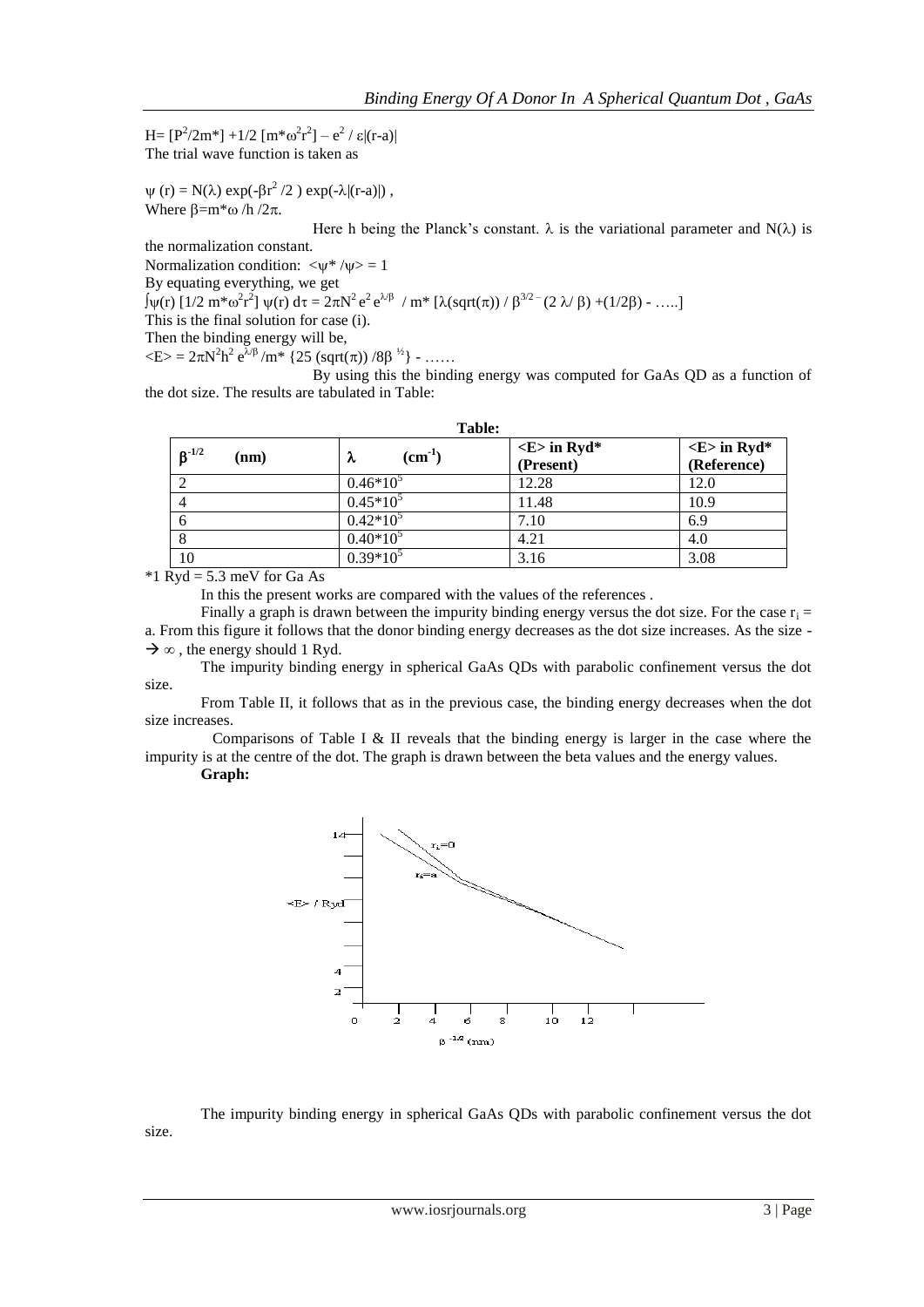H =  $[P^2/2m^*]$  +1/2  $[m^* \omega^2 r^2]$  –  $e^2 / \varepsilon |(r-a)|$ The trial wave function is taken as

 $\psi$  (r) = N( $\lambda$ ) exp(- $\beta r^2/2$ ) exp(- $\lambda$ |(r-a)|), Where  $\beta = m^* \omega / h / 2\pi$ .

Here h being the Planck's constant.  $\lambda$  is the variational parameter and N( $\lambda$ ) is

the normalization constant.

Normalization condition:  $\langle \psi^* | \psi \rangle = 1$ 

By equating everything, we get

 $\int \psi(r) \left[1/2 \, \text{m}^* \omega^2 r^2\right] \psi(r) \, \text{d}\tau = 2\pi \text{N}^2 \text{e}^2 \text{e}^{\lambda/\beta} / \text{m}^* \left[\lambda(\text{sqrt}(\pi)) / \beta^{3/2} (2 \, \lambda/\beta) + (1/2\beta) - \dots\right]$ 

This is the final solution for case (i).

Then the binding energy will be,

 $\langle E \rangle = 2\pi N^2 h^2 e^{\lambda/\beta} / m^*$  {25 (sqrt( $\pi$ )) /8 $\beta^{1/2}$ } - ......

By using this the binding energy was computed for GaAs QD as a function of the dot size. The results are tabulated in Table:

| $6^{-1/2}$<br>(nm) | $(cm-1)$<br>λ | $\langle E \rangle$ in Ryd*<br>(Present) | $\langle E \rangle$ in Ryd*<br>(Reference) |
|--------------------|---------------|------------------------------------------|--------------------------------------------|
|                    | $0.46*10^5$   | 12.28                                    | 12.0                                       |
|                    | $0.45*10^5$   | 11.48                                    | 10.9                                       |
| o                  | $0.42*10^5$   | 7.10                                     | 6.9                                        |
| 8                  | $0.40*10^5$   | 4.21                                     | 4.0                                        |
| 10                 | $0.39*10^5$   | 3.16                                     | 3.08                                       |

**Table:**

 $*1$  Ryd = 5.3 meV for Ga As

In this the present works are compared with the values of the references .

Finally a graph is drawn between the impurity binding energy versus the dot size. For the case  $r_i =$ a. From this figure it follows that the donor binding energy decreases as the dot size increases. As the size -  $\rightarrow \infty$ , the energy should 1 Ryd.

The impurity binding energy in spherical GaAs QDs with parabolic confinement versus the dot size.

From Table II, it follows that as in the previous case, the binding energy decreases when the dot size increases.

 Comparisons of Table I & II reveals that the binding energy is larger in the case where the impurity is at the centre of the dot. The graph is drawn between the beta values and the energy values.

**Graph:**

size.



The impurity binding energy in spherical GaAs QDs with parabolic confinement versus the dot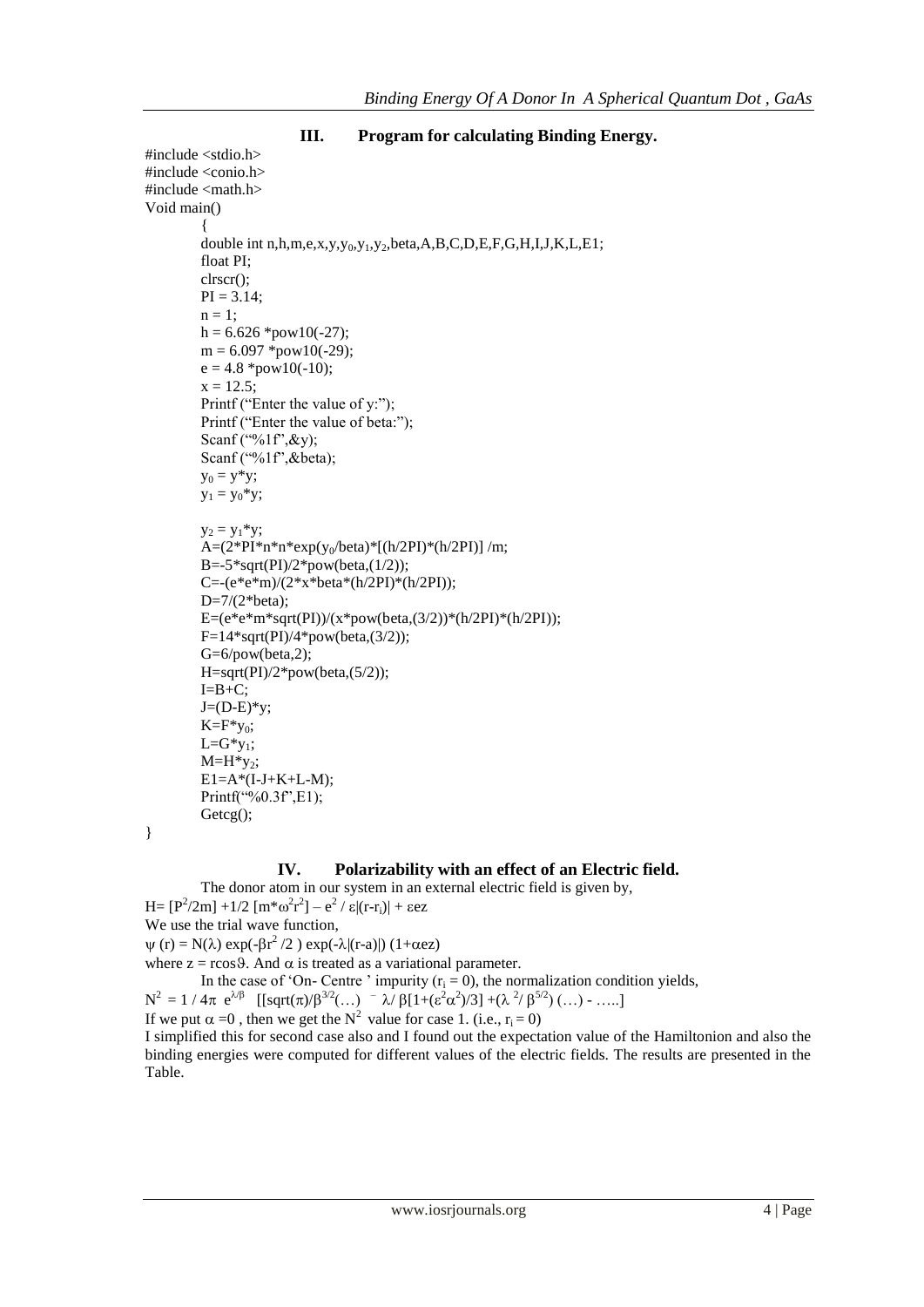```
#include <stdio.h>
#include <conio.h>
#include <math.h>
Void main()
         {
         double int n,h,m,e,x,y,y<sub>0</sub>,y<sub>1</sub>,y<sub>2</sub>,beta,A,B,C,D,E,F,G,H,I,J,K,L,E1;
         float PI;
         clrscr();
         PI = 3.14;n = 1;
         h = 6.626 *pow10(-27);m = 6.097 *pow10(-29);
         e = 4.8 *pow10(-10);x = 12.5;
         Printf ("Enter the value of y:");
         Printf ("Enter the value of beta:");
         Scanf ("%1f", & y);
         Scanf ("%1f", & beta);
         y_0 = y^*y;y_1 = y_0 * y;y_2 = y_1 * y;A=(2*PI*n*n*exp(y_0/beta)*[(h/2PI)*(h/2PI)]/m;B = -5*sqrt(PI)/2*pow(beta,(1/2));C=-(e*e*m)/(2*x*beta*(h/2PI)*(h/2PI));
         D=7/(2*beta);
         E=(e*e*m*sqrt(PI))/(x*pow(beta,(3/2))*(h/2PI)*(h/2PI));
         F=14*sqrt(PI)/4*pow(beta,(3/2));
         G=6/pow(beta,2);
         H=sqrt(PI)/2*pow(beta,(5/2));
         I=B+C;J=(D-E)*y;K=F*y_0;L=G*y<sub>1</sub>;
         M=H*y_2;E1=A*(I-J+K+L-M);Printf("%0.3f", E1);Getcg();
```

```
III. Program for calculating Binding Energy.
```

```
}
```
#### **IV. Polarizability with an effect of an Electric field.**

The donor atom in our system in an external electric field is given by,

H =  $[P^2/2m]$  +1/2  $[m*\omega^2r^2]$  –  $e^2 / \varepsilon |(r-r_i)|$  +  $\varepsilon$ ez We use the trial wave function,  $\psi$  (r) = N( $\lambda$ ) exp(- $\beta r^2/2$ ) exp(- $\lambda$ |(r-a)|) (1+ $\alpha$ ez)

where  $z = r\cos\theta$ . And  $\alpha$  is treated as a variational parameter.

In the case of 'On- Centre' impurity  $(r_i = 0)$ , the normalization condition yields,

 $N^2 = 1 / 4\pi e^{\lambda/\beta}$  [[sqrt( $\pi$ )/ $\beta^{3/2}$ (...)  $^{-} \lambda/\beta$ [1+( $\varepsilon^2 \alpha^2$ )/3] +( $\lambda^2/\beta^{5/2}$ )(...) - .....]

If we put  $\alpha =0$ , then we get the N<sup>2</sup> value for case 1. (i.e.,  $r_i = 0$ )

I simplified this for second case also and I found out the expectation value of the Hamiltonion and also the binding energies were computed for different values of the electric fields. The results are presented in the Table.